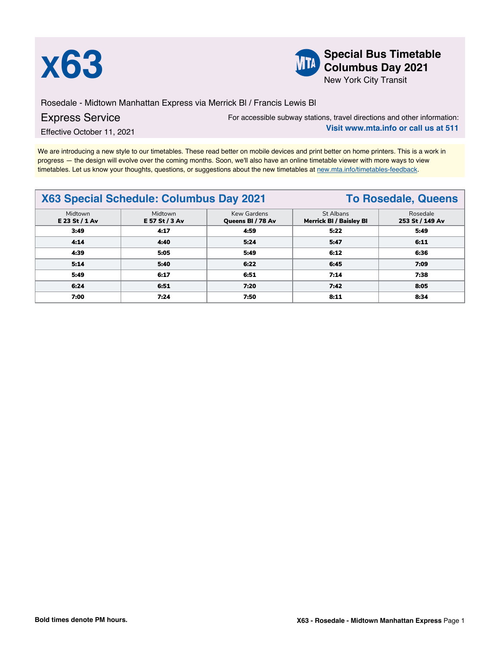



**X63 Special Bus Timetable**<br> **Special Bus Timetable**<br> **Special Bus Timetable**<br> **Special Bus Timetable Columbus Day 2021**

New York City Transit

Rosedale - Midtown Manhattan Express via Merrick Bl / Francis Lewis Bl

## Express Service

For accessible subway stations, travel directions and other information: **Visit www.mta.info or call us at 511**

Effective October 11, 2021

We are introducing a new style to our timetables. These read better on mobile devices and print better on home printers. This is a work in progress — the design will evolve over the coming months. Soon, we'll also have an online timetable viewer with more ways to view timetables. Let us know your thoughts, questions, or suggestions about the new timetables at [new.mta.info/timetables-feedback](https://new.mta.info/timetables-feedback).

## **X63 Special Schedule: Columbus Day 2021 To Rosedale, Queens** Midtown **E 23 St / 1 Av** Midtown **E 57 St / 3 Av** Kew Gardens **Queens Bl / 78 Av** St Albans **Merrick Bl / Baisley Bl** Rosedale **253 St / 149 Av 3:49 4:17 4:59 5:22 5:49 4:14 4:40 5:24 5:47 6:11 4:39 5:05 5:49 6:12 6:36 5:14 5:40 6:22 6:45 7:09 5:49 6:17 6:51 7:14 7:38 6:24 6:51 7:20 7:42 8:05 7:00 7:24 7:50 8:11 8:34**